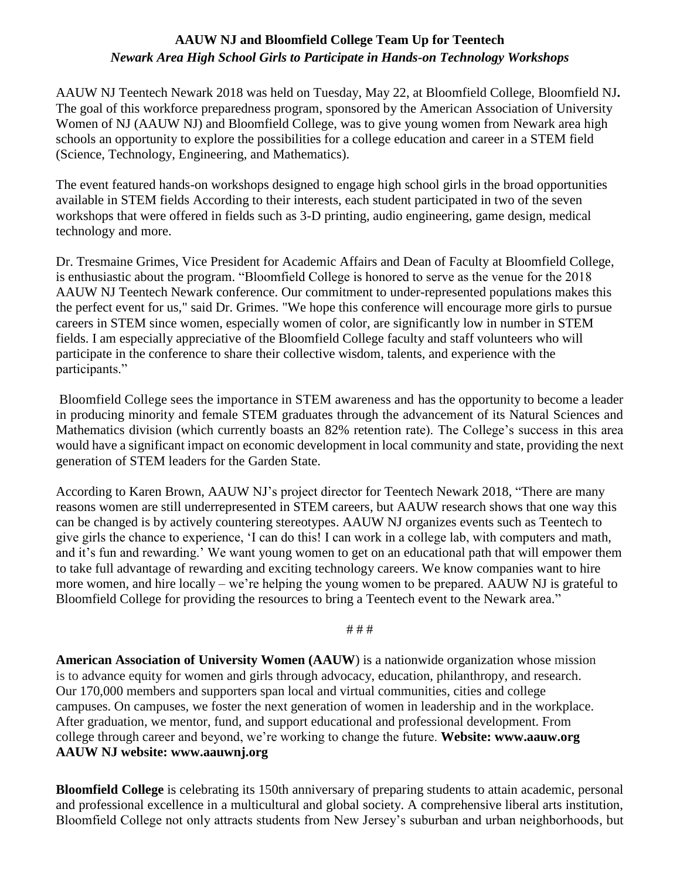## **AAUW NJ and Bloomfield College Team Up for Teentech** *Newark Area High School Girls to Participate in Hands-on Technology Workshops*

AAUW NJ Teentech Newark 2018 was held on Tuesday, May 22, at Bloomfield College, Bloomfield NJ**.** The goal of this workforce preparedness program, sponsored by the American Association of University Women of NJ (AAUW NJ) and Bloomfield College, was to give young women from Newark area high schools an opportunity to explore the possibilities for a college education and career in a STEM field (Science, Technology, Engineering, and Mathematics).

The event featured hands-on workshops designed to engage high school girls in the broad opportunities available in STEM fields According to their interests, each student participated in two of the seven workshops that were offered in fields such as 3-D printing, audio engineering, game design, medical technology and more.

Dr. Tresmaine Grimes, Vice President for Academic Affairs and Dean of Faculty at Bloomfield College, is enthusiastic about the program. "Bloomfield College is honored to serve as the venue for the 2018 AAUW NJ Teentech Newark conference. Our commitment to under-represented populations makes this the perfect event for us," said Dr. Grimes. "We hope this conference will encourage more girls to pursue careers in STEM since women, especially women of color, are significantly low in number in STEM fields. I am especially appreciative of the Bloomfield College faculty and staff volunteers who will participate in the conference to share their collective wisdom, talents, and experience with the participants."

Bloomfield College sees the importance in STEM awareness and has the opportunity to become a leader in producing minority and female STEM graduates through the advancement of its Natural Sciences and Mathematics division (which currently boasts an 82% retention rate). The College's success in this area would have a significant impact on economic development in local community and state, providing the next generation of STEM leaders for the Garden State.

According to Karen Brown, AAUW NJ's project director for Teentech Newark 2018, "There are many reasons women are still underrepresented in STEM careers, but AAUW research shows that one way this can be changed is by actively countering stereotypes. AAUW NJ organizes events such as Teentech to give girls the chance to experience, 'I can do this! I can work in a college lab, with computers and math, and it's fun and rewarding.' We want young women to get on an educational path that will empower them to take full advantage of rewarding and exciting technology careers. We know companies want to hire more women, and hire locally – we're helping the young women to be prepared. AAUW NJ is grateful to Bloomfield College for providing the resources to bring a Teentech event to the Newark area."

# # #

**American Association of University Women (AAUW**) is a nationwide organization whose mission is to advance equity for women and girls through advocacy, education, philanthropy, and research. Our 170,000 members and supporters span local and virtual communities, cities and college campuses. On campuses, we foster the next generation of women in leadership and in the workplace. After graduation, we mentor, fund, and support educational and professional development. From college through career and beyond, we're working to change the future. **Website: www.aauw.org AAUW NJ website: www.aauwnj.org**

**Bloomfield College** is celebrating its 150th anniversary of preparing students to attain academic, personal and professional excellence in a multicultural and global society. A comprehensive liberal arts institution, Bloomfield College not only attracts students from New Jersey's suburban and urban neighborhoods, but